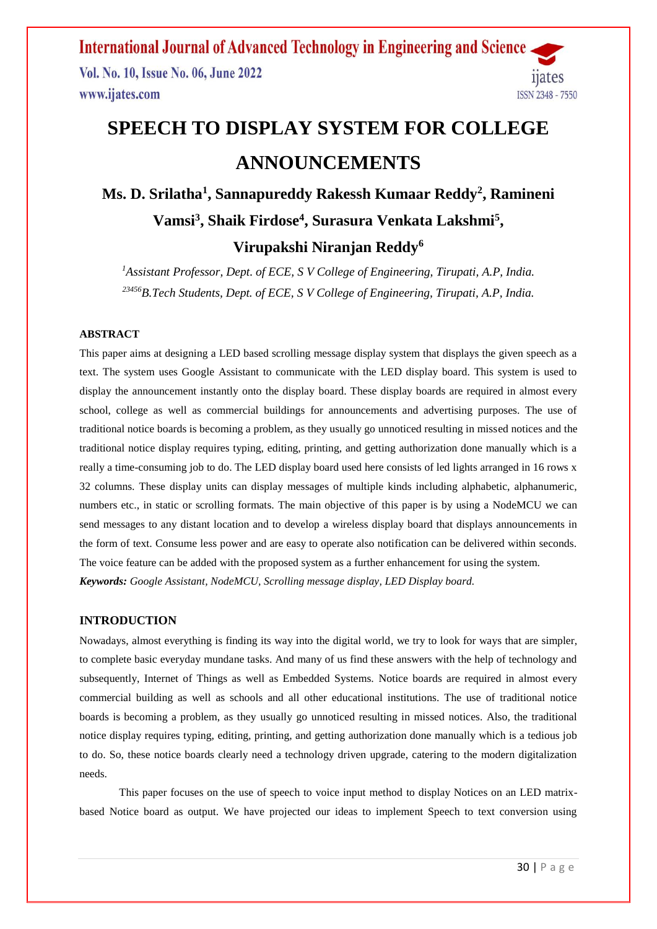**International Journal of Advanced Technology in Engineering and Science** Vol. No. 10, Issue No. 06, June 2022 ijates www.ijates.com **ISSN 2348 - 7550** 

# **SPEECH TO DISPLAY SYSTEM FOR COLLEGE ANNOUNCEMENTS**

# **Ms. D. Srilatha<sup>1</sup> , Sannapureddy Rakessh Kumaar Reddy<sup>2</sup> , Ramineni Vamsi<sup>3</sup> , Shaik Firdose<sup>4</sup> , Surasura Venkata Lakshmi<sup>5</sup> , Virupakshi Niranjan Reddy<sup>6</sup>**

*<sup>1</sup>Assistant Professor, Dept. of ECE, S V College of Engineering, Tirupati, A.P, India. <sup>23456</sup>B.Tech Students, Dept. of ECE, S V College of Engineering, Tirupati, A.P, India.*

#### **ABSTRACT**

This paper aims at designing a LED based scrolling message display system that displays the given speech as a text. The system uses Google Assistant to communicate with the LED display board. This system is used to display the announcement instantly onto the display board. These display boards are required in almost every school, college as well as commercial buildings for announcements and advertising purposes. The use of traditional notice boards is becoming a problem, as they usually go unnoticed resulting in missed notices and the traditional notice display requires typing, editing, printing, and getting authorization done manually which is a really a time-consuming job to do. The LED display board used here consists of led lights arranged in 16 rows x 32 columns. These display units can display messages of multiple kinds including alphabetic, alphanumeric, numbers etc., in static or scrolling formats. The main objective of this paper is by using a NodeMCU we can send messages to any distant location and to develop a wireless display board that displays announcements in the form of text. Consume less power and are easy to operate also notification can be delivered within seconds. The voice feature can be added with the proposed system as a further enhancement for using the system. *Keywords: Google Assistant, NodeMCU, Scrolling message display, LED Display board.*

#### **INTRODUCTION**

Nowadays, almost everything is finding its way into the digital world, we try to look for ways that are simpler, to complete basic everyday mundane tasks. And many of us find these answers with the help of technology and subsequently, Internet of Things as well as Embedded Systems. Notice boards are required in almost every commercial building as well as schools and all other educational institutions. The use of traditional notice boards is becoming a problem, as they usually go unnoticed resulting in missed notices. Also, the traditional notice display requires typing, editing, printing, and getting authorization done manually which is a tedious job to do. So, these notice boards clearly need a technology driven upgrade, catering to the modern digitalization needs.

This paper focuses on the use of speech to voice input method to display Notices on an LED matrixbased Notice board as output. We have projected our ideas to implement Speech to text conversion using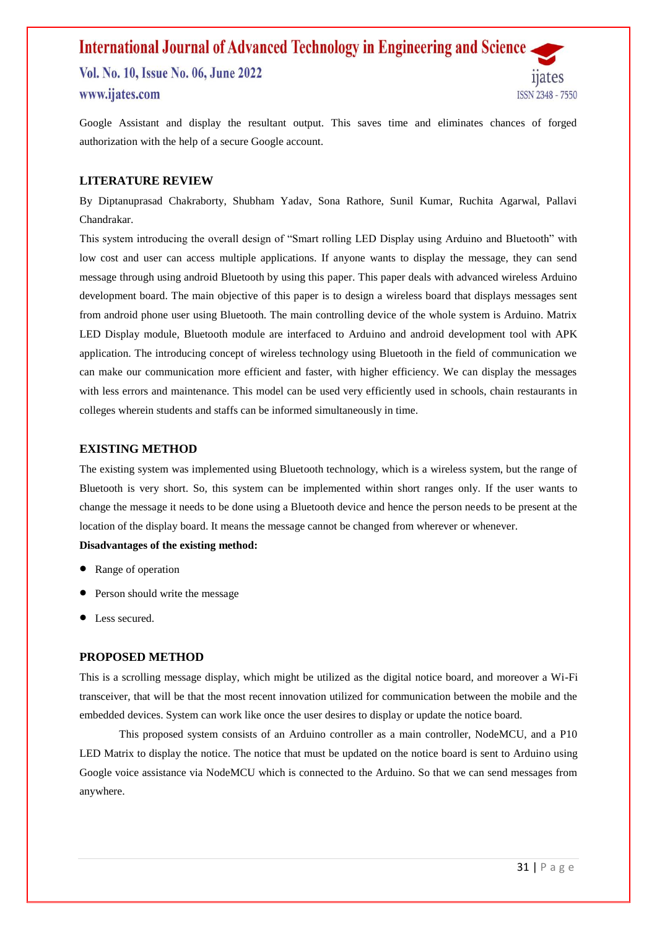## **International Journal of Advanced Technology in Engineering and Science** Vol. No. 10, Issue No. 06, June 2022 **nates** www.ijates.com **ISSN 2348 - 7550**

Google Assistant and display the resultant output. This saves time and eliminates chances of forged authorization with the help of a secure Google account.

#### **LITERATURE REVIEW**

By Diptanuprasad Chakraborty, Shubham Yadav, Sona Rathore, Sunil Kumar, Ruchita Agarwal, Pallavi Chandrakar.

This system introducing the overall design of "Smart rolling LED Display using Arduino and Bluetooth" with low cost and user can access multiple applications. If anyone wants to display the message, they can send message through using android Bluetooth by using this paper. This paper deals with advanced wireless Arduino development board. The main objective of this paper is to design a wireless board that displays messages sent from android phone user using Bluetooth. The main controlling device of the whole system is Arduino. Matrix LED Display module, Bluetooth module are interfaced to Arduino and android development tool with APK application. The introducing concept of wireless technology using Bluetooth in the field of communication we can make our communication more efficient and faster, with higher efficiency. We can display the messages with less errors and maintenance. This model can be used very efficiently used in schools, chain restaurants in colleges wherein students and staffs can be informed simultaneously in time.

#### **EXISTING METHOD**

The existing system was implemented using Bluetooth technology, which is a wireless system, but the range of Bluetooth is very short. So, this system can be implemented within short ranges only. If the user wants to change the message it needs to be done using a Bluetooth device and hence the person needs to be present at the location of the display board. It means the message cannot be changed from wherever or whenever.

#### **Disadvantages of the existing method:**

- Range of operation
- Person should write the message
- Less secured.

#### **PROPOSED METHOD**

This is a scrolling message display, which might be utilized as the digital notice board, and moreover a Wi-Fi transceiver, that will be that the most recent innovation utilized for communication between the mobile and the embedded devices. System can work like once the user desires to display or update the notice board.

This proposed system consists of an Arduino controller as a main controller, NodeMCU, and a P10 LED Matrix to display the notice. The notice that must be updated on the notice board is sent to Arduino using Google voice assistance via NodeMCU which is connected to the Arduino. So that we can send messages from anywhere.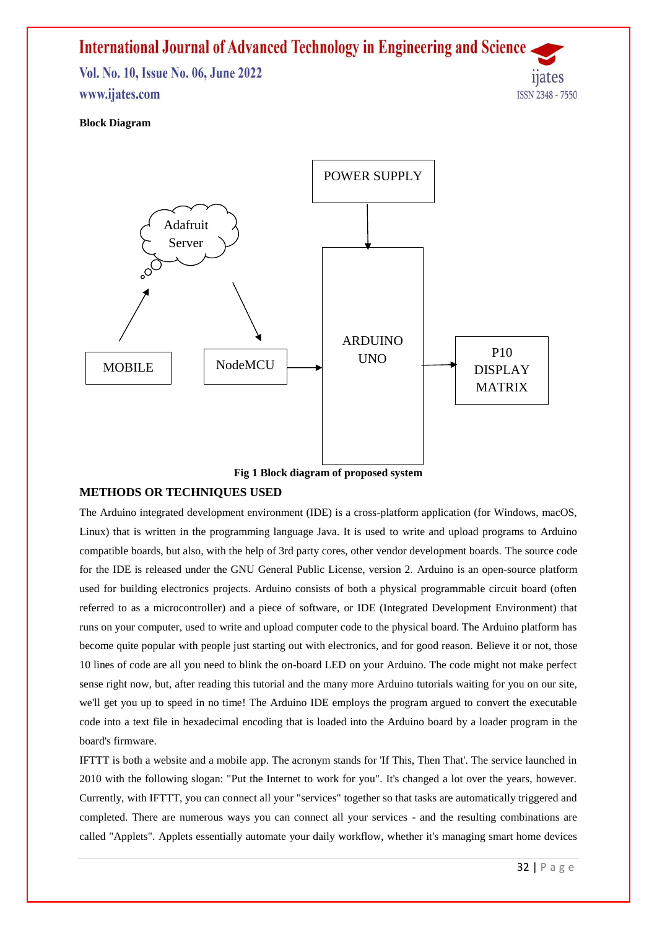# **International Journal of Advanced Technology in Engineering and Science** Vol. No. 10, Issue No. 06, June 2022 **nates** www.ijates.com **ISSN 2348 - 7550**

#### **Block Diagram**



#### **METHODS OR TECHNIQUES USED**

The Arduino integrated development environment (IDE) is a cross-platform application (for Windows, macOS, Linux) that is written in the programming language Java. It is used to write and upload programs to Arduino compatible boards, but also, with the help of 3rd party cores, other vendor development boards. The source code for the IDE is released under the GNU General Public License, version 2. [Arduino](http://arduino.cc/) is an open-source platform used for building electronics projects. Arduino consists of both a physical programmable circuit board (often referred to as a [microcontroller\)](http://en.wikipedia.org/wiki/Microcontroller) and a piece of [software,](http://arduino.cc/en/Main/Software) or IDE (Integrated Development Environment) that runs on your computer, used to write and upload computer code to the physical board. The Arduino platform has become quite popular with people just starting out with electronics, and for good reason. Believe it or not, those 10 lines of code are all you need to blink the on-board LED on your Arduino. The code might not make perfect sense right now, but, after reading this tutorial and the many more Arduino tutorials waiting for you on our site, we'll get you up to speed in no time! The Arduino IDE employs the program argued to convert the executable code into a text file in hexadecimal encoding that is loaded into the Arduino board by a loader program in the board's firmware.

IFTTT is both a website and a mobile app. The acronym stands for 'If This, Then That'. The service launched in 2010 with the following slogan: "Put the Internet to work for you". It's changed a lot over the years, however. Currently, with IFTTT, you can connect all your "services" together so that tasks are automatically triggered and completed. There are numerous ways you can connect all your services - and the resulting combinations are called "Applets". Applets essentially automate your daily workflow, whether it's managing smart home devices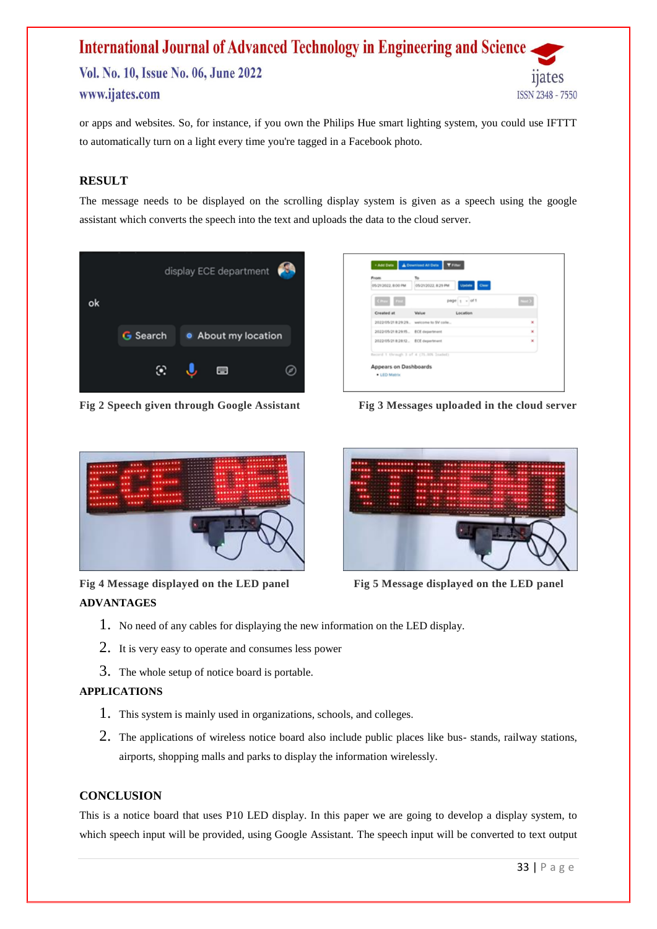# **International Journal of Advanced Technology in Engineering and Science** Vol. No. 10, Issue No. 06, June 2022 www.ijates.com **ISSN 2348 - 7550**

or apps and websites. So, for instance, if you own the Philips Hue smart lighting system, you could use IFTTT to automatically turn on a light every time you're tagged in a Facebook photo.

# **RESULT**

The message needs to be displayed on the scrolling display system is given as a speech using the google assistant which converts the speech into the text and uploads the data to the cloud server.



**Fig 2 Speech given through Google Assistant Fig 3 Messages uploaded in the cloud server**

| <b>From</b><br>05/21/2022, 8:00 PM      | To.<br>Update Clear<br>05/21/2022, 8:29 PM |       |
|-----------------------------------------|--------------------------------------------|-------|
| CPrev First                             | $page \mid +$ of 1                         | $-12$ |
| Created at                              | Location<br>Value                          |       |
|                                         | 2022/05/21 8:29:29. welcome to SV colle    | ×     |
|                                         |                                            | ×     |
| 2022/05/21 8:28:12. ECE department      |                                            | ×     |
| Record 1 through 3 of 4 (75.00% Insded) |                                            |       |
| Appears on Dashboards                   |                                            |       |
| . LED Matrix                            |                                            |       |



**Fig 4 Message displayed on the LED panel Fig 5 Message displayed on the LED panel** 



# **ADVANTAGES**

- 1. No need of any cables for displaying the new information on the LED display.
- 2. It is very easy to operate and consumes less power
- 3. The whole setup of notice board is portable.

## **APPLICATIONS**

- 1. This system is mainly used in organizations, schools, and colleges.
- 2. The applications of wireless notice board also include public places like bus- stands, railway stations, airports, shopping malls and parks to display the information wirelessly.

## **CONCLUSION**

This is a notice board that uses P10 LED display. In this paper we are going to develop a display system, to which speech input will be provided, using Google Assistant. The speech input will be converted to text output